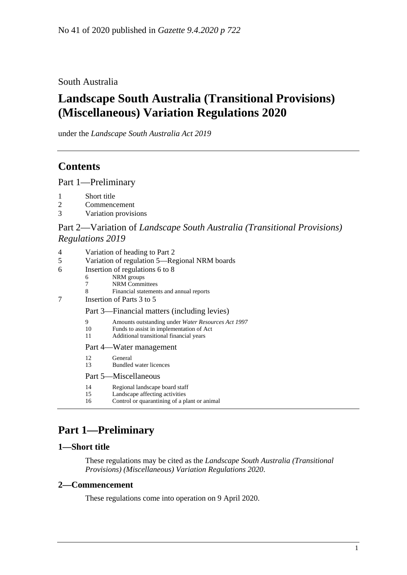South Australia

# **Landscape South Australia (Transitional Provisions) (Miscellaneous) Variation Regulations 2020**

under the *Landscape South Australia Act 2019*

# **Contents**

Part [1—Preliminary](#page-0-0)

- 1 [Short title](#page-0-1)
- 2 [Commencement](#page-0-2)
- 3 [Variation provisions](#page-1-0)

## Part 2—Variation of *[Landscape South Australia \(Transitional Provisions\)](#page-1-1)  [Regulations](#page-1-1) 2019*

| $\overline{\mathcal{A}}$ | Variation of heading to Part 2                                   |
|--------------------------|------------------------------------------------------------------|
|                          | $\mathbf{D}$<br>$\mathbf{V}$ outside of no culation $\mathbf{F}$ |

- 5 [Variation of regulation 5—Regional NRM boards](#page-1-3)
- 6 [Insertion of regulations 6 to 8](#page-1-4)
	- 6 NRM groups<br>7 NRM Comm
	- NRM Committees
	- 8 Financial statements and annual reports
- 7 [Insertion of Parts 3 to 5](#page-3-0)

Part 3—Financial matters (including levies)

- 9 Amounts outstanding under *Water Resources Act 1997*
- 10 Funds to assist in implementation of Act
- 11 Additional transitional financial years

Part 4—Water management

- 12 General
- 13 Bundled water licences
- Part 5—Miscellaneous
- 14 Regional landscape board staff
- 15 Landscape affecting activities<br>16 Control or quarantining of a pl
- Control or quarantining of a plant or animal

# <span id="page-0-0"></span>**Part 1—Preliminary**

## <span id="page-0-1"></span>**1—Short title**

These regulations may be cited as the *Landscape South Australia (Transitional Provisions) (Miscellaneous) Variation Regulations 2020*.

#### <span id="page-0-2"></span>**2—Commencement**

These regulations come into operation on 9 April 2020.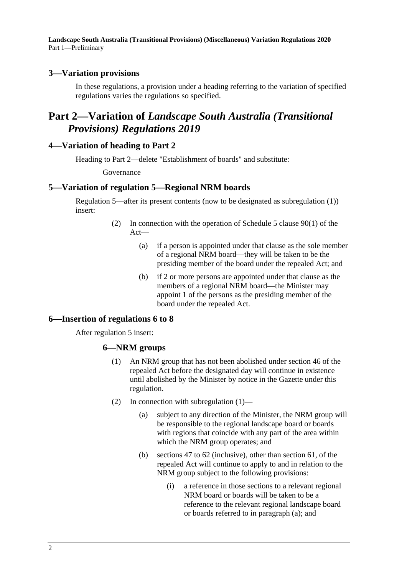### <span id="page-1-0"></span>**3—Variation provisions**

In these regulations, a provision under a heading referring to the variation of specified regulations varies the regulations so specified.

## <span id="page-1-1"></span>**Part 2—Variation of** *Landscape South Australia (Transitional Provisions) Regulations 2019*

#### <span id="page-1-2"></span>**4—Variation of heading to Part 2**

Heading to Part 2—delete "Establishment of boards" and substitute:

#### Governance

#### <span id="page-1-3"></span>**5—Variation of regulation 5—Regional NRM boards**

Regulation 5—after its present contents (now to be designated as subregulation (1)) insert:

- (2) In connection with the operation of Schedule 5 clause 90(1) of the Act—
	- (a) if a person is appointed under that clause as the sole member of a regional NRM board—they will be taken to be the presiding member of the board under the repealed Act; and
	- (b) if 2 or more persons are appointed under that clause as the members of a regional NRM board—the Minister may appoint 1 of the persons as the presiding member of the board under the repealed Act.

#### <span id="page-1-4"></span>**6—Insertion of regulations 6 to 8**

<span id="page-1-5"></span>After regulation 5 insert:

#### **6—NRM groups**

- (1) An NRM group that has not been abolished under section 46 of the repealed Act before the designated day will continue in existence until abolished by the Minister by notice in the Gazette under this regulation.
- <span id="page-1-6"></span>(2) In connection with [subregulation](#page-1-5) (1)—
	- (a) subject to any direction of the Minister, the NRM group will be responsible to the regional landscape board or boards with regions that coincide with any part of the area within which the NRM group operates; and
	- (b) sections 47 to 62 (inclusive), other than section 61, of the repealed Act will continue to apply to and in relation to the NRM group subject to the following provisions:
		- (i) a reference in those sections to a relevant regional NRM board or boards will be taken to be a reference to the relevant regional landscape board or boards referred to in [paragraph](#page-1-6) (a); and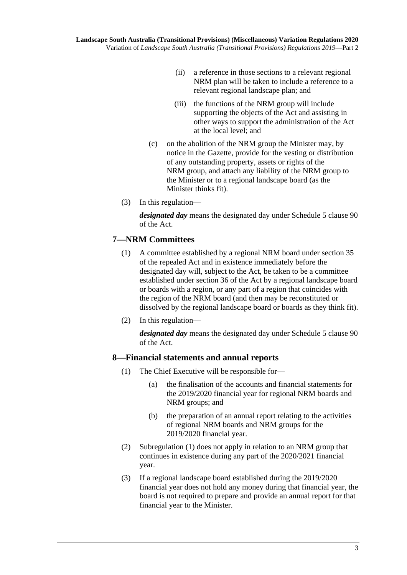- (ii) a reference in those sections to a relevant regional NRM plan will be taken to include a reference to a relevant regional landscape plan; and
- (iii) the functions of the NRM group will include supporting the objects of the Act and assisting in other ways to support the administration of the Act at the local level; and
- (c) on the abolition of the NRM group the Minister may, by notice in the Gazette, provide for the vesting or distribution of any outstanding property, assets or rights of the NRM group, and attach any liability of the NRM group to the Minister or to a regional landscape board (as the Minister thinks fit).
- (3) In this regulation—

*designated day* means the designated day under Schedule 5 clause 90 of the Act.

## **7—NRM Committees**

- (1) A committee established by a regional NRM board under section 35 of the repealed Act and in existence immediately before the designated day will, subject to the Act, be taken to be a committee established under section 36 of the Act by a regional landscape board or boards with a region, or any part of a region that coincides with the region of the NRM board (and then may be reconstituted or dissolved by the regional landscape board or boards as they think fit).
- (2) In this regulation—

*designated day* means the designated day under Schedule 5 clause 90 of the Act.

#### <span id="page-2-0"></span>**8—Financial statements and annual reports**

- (1) The Chief Executive will be responsible for—
	- (a) the finalisation of the accounts and financial statements for the 2019/2020 financial year for regional NRM boards and NRM groups; and
	- (b) the preparation of an annual report relating to the activities of regional NRM boards and NRM groups for the 2019/2020 financial year.
- (2) [Subregulation](#page-2-0) (1) does not apply in relation to an NRM group that continues in existence during any part of the 2020/2021 financial year.
- (3) If a regional landscape board established during the 2019/2020 financial year does not hold any money during that financial year, the board is not required to prepare and provide an annual report for that financial year to the Minister.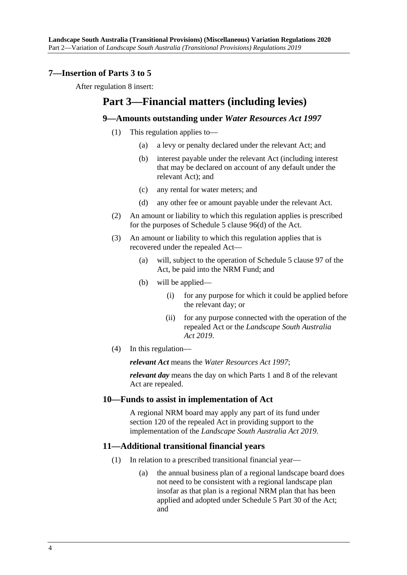### <span id="page-3-0"></span>**7—Insertion of Parts 3 to 5**

After regulation 8 insert:

## **Part 3—Financial matters (including levies)**

#### **9—Amounts outstanding under** *Water Resources Act 1997*

- (1) This regulation applies to—
	- (a) a levy or penalty declared under the relevant Act; and
	- (b) interest payable under the relevant Act (including interest that may be declared on account of any default under the relevant Act); and
	- (c) any rental for water meters; and
	- (d) any other fee or amount payable under the relevant Act.
- (2) An amount or liability to which this regulation applies is prescribed for the purposes of Schedule 5 clause 96(d) of the Act.
- (3) An amount or liability to which this regulation applies that is recovered under the repealed Act—
	- (a) will, subject to the operation of Schedule 5 clause 97 of the Act, be paid into the NRM Fund; and
	- (b) will be applied—
		- (i) for any purpose for which it could be applied before the relevant day; or
		- (ii) for any purpose connected with the operation of the repealed Act or the *[Landscape South Australia](http://www.legislation.sa.gov.au/index.aspx?action=legref&type=act&legtitle=Landscape%20South%20Australia%20Act%202019)  Act [2019](http://www.legislation.sa.gov.au/index.aspx?action=legref&type=act&legtitle=Landscape%20South%20Australia%20Act%202019)*.
- (4) In this regulation—

*relevant Act* means the *[Water Resources Act](http://www.legislation.sa.gov.au/index.aspx?action=legref&type=act&legtitle=Water%20Resources%20Act%201997) 1997*;

*relevant day* means the day on which Parts 1 and 8 of the relevant Act are repealed.

#### **10—Funds to assist in implementation of Act**

A regional NRM board may apply any part of its fund under section 120 of the repealed Act in providing support to the implementation of the *[Landscape South Australia Act](http://www.legislation.sa.gov.au/index.aspx?action=legref&type=act&legtitle=Landscape%20South%20Australia%20Act%202019) 2019*.

#### **11—Additional transitional financial years**

- (1) In relation to a prescribed transitional financial year—
	- (a) the annual business plan of a regional landscape board does not need to be consistent with a regional landscape plan insofar as that plan is a regional NRM plan that has been applied and adopted under Schedule 5 Part 30 of the Act; and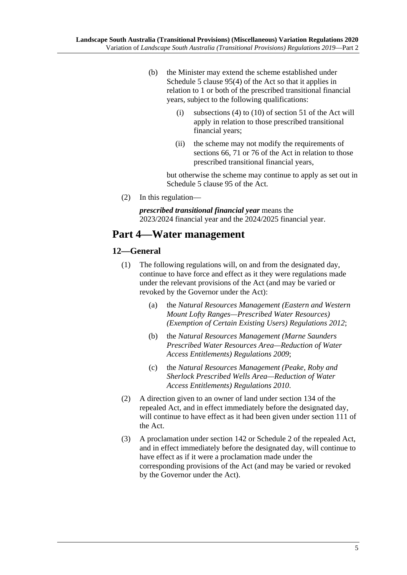- (b) the Minister may extend the scheme established under Schedule 5 clause 95(4) of the Act so that it applies in relation to 1 or both of the prescribed transitional financial years, subject to the following qualifications:
	- (i) subsections (4) to (10) of section 51 of the Act will apply in relation to those prescribed transitional financial years;
	- (ii) the scheme may not modify the requirements of sections 66, 71 or 76 of the Act in relation to those prescribed transitional financial years,

but otherwise the scheme may continue to apply as set out in Schedule 5 clause 95 of the Act.

(2) In this regulation—

*prescribed transitional financial year* means the 2023/2024 financial year and the 2024/2025 financial year.

## **Part 4—Water management**

#### **12—General**

- (1) The following regulations will, on and from the designated day, continue to have force and effect as it they were regulations made under the relevant provisions of the Act (and may be varied or revoked by the Governor under the Act):
	- (a) the *[Natural Resources Management \(Eastern and Western](http://www.legislation.sa.gov.au/index.aspx?action=legref&type=act&legtitle=Natural%20Resources%20Management%20(Eastern%20and%20Western%20Mount%20Lofty%20Ranges%E2%80%94Prescribed%20Water%20Resources)%20(Exemption%20of%20Certain%20Existing%20Users)%20Regulations%202012)  [Mount Lofty Ranges—Prescribed Water Resources\)](http://www.legislation.sa.gov.au/index.aspx?action=legref&type=act&legtitle=Natural%20Resources%20Management%20(Eastern%20and%20Western%20Mount%20Lofty%20Ranges%E2%80%94Prescribed%20Water%20Resources)%20(Exemption%20of%20Certain%20Existing%20Users)%20Regulations%202012)  [\(Exemption of Certain Existing Users\) Regulations](http://www.legislation.sa.gov.au/index.aspx?action=legref&type=act&legtitle=Natural%20Resources%20Management%20(Eastern%20and%20Western%20Mount%20Lofty%20Ranges%E2%80%94Prescribed%20Water%20Resources)%20(Exemption%20of%20Certain%20Existing%20Users)%20Regulations%202012) 2012*;
	- (b) the *[Natural Resources Management \(Marne Saunders](http://www.legislation.sa.gov.au/index.aspx?action=legref&type=act&legtitle=Natural%20Resources%20Management%20(Marne%20Saunders%20Prescribed%20Water%20Resources%20Area%E2%80%94Reduction%20of%20Water%20Access%20Entitlements)%20Regulations%202009)  [Prescribed Water Resources Area—Reduction of Water](http://www.legislation.sa.gov.au/index.aspx?action=legref&type=act&legtitle=Natural%20Resources%20Management%20(Marne%20Saunders%20Prescribed%20Water%20Resources%20Area%E2%80%94Reduction%20of%20Water%20Access%20Entitlements)%20Regulations%202009)  [Access Entitlements\) Regulations](http://www.legislation.sa.gov.au/index.aspx?action=legref&type=act&legtitle=Natural%20Resources%20Management%20(Marne%20Saunders%20Prescribed%20Water%20Resources%20Area%E2%80%94Reduction%20of%20Water%20Access%20Entitlements)%20Regulations%202009) 2009*;
	- (c) the *[Natural Resources Management \(Peake, Roby and](http://www.legislation.sa.gov.au/index.aspx?action=legref&type=act&legtitle=Natural%20Resources%20Management%20(Peake%20Roby%20and%20Sherlock%20Prescribed%20Wells%20Area%E2%80%94Reduction%20of%20Water%20Access%20Entitlements)%20Regulations%202010)  [Sherlock Prescribed Wells Area—Reduction of Water](http://www.legislation.sa.gov.au/index.aspx?action=legref&type=act&legtitle=Natural%20Resources%20Management%20(Peake%20Roby%20and%20Sherlock%20Prescribed%20Wells%20Area%E2%80%94Reduction%20of%20Water%20Access%20Entitlements)%20Regulations%202010)  [Access Entitlements\) Regulations](http://www.legislation.sa.gov.au/index.aspx?action=legref&type=act&legtitle=Natural%20Resources%20Management%20(Peake%20Roby%20and%20Sherlock%20Prescribed%20Wells%20Area%E2%80%94Reduction%20of%20Water%20Access%20Entitlements)%20Regulations%202010) 2010*.
- (2) A direction given to an owner of land under section 134 of the repealed Act, and in effect immediately before the designated day, will continue to have effect as it had been given under section 111 of the Act.
- (3) A proclamation under section 142 or Schedule 2 of the repealed Act, and in effect immediately before the designated day, will continue to have effect as if it were a proclamation made under the corresponding provisions of the Act (and may be varied or revoked by the Governor under the Act).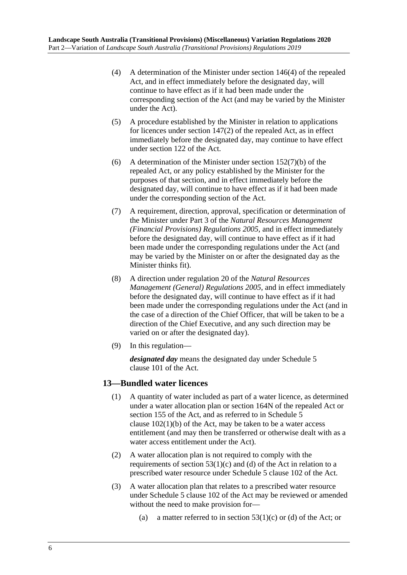- (4) A determination of the Minister under section 146(4) of the repealed Act, and in effect immediately before the designated day, will continue to have effect as if it had been made under the corresponding section of the Act (and may be varied by the Minister under the Act).
- (5) A procedure established by the Minister in relation to applications for licences under section 147(2) of the repealed Act, as in effect immediately before the designated day, may continue to have effect under section 122 of the Act.
- (6) A determination of the Minister under section  $152(7)(b)$  of the repealed Act, or any policy established by the Minister for the purposes of that section, and in effect immediately before the designated day, will continue to have effect as if it had been made under the corresponding section of the Act.
- (7) A requirement, direction, approval, specification or determination of the Minister under Part 3 of the *[Natural Resources Management](http://www.legislation.sa.gov.au/index.aspx?action=legref&type=act&legtitle=Natural%20Resources%20Management%20(Financial%20Provisions)%20Regulations%202005)  [\(Financial Provisions\) Regulations](http://www.legislation.sa.gov.au/index.aspx?action=legref&type=act&legtitle=Natural%20Resources%20Management%20(Financial%20Provisions)%20Regulations%202005) 2005*, and in effect immediately before the designated day, will continue to have effect as if it had been made under the corresponding regulations under the Act (and may be varied by the Minister on or after the designated day as the Minister thinks fit).
- (8) A direction under regulation 20 of the *[Natural Resources](http://www.legislation.sa.gov.au/index.aspx?action=legref&type=act&legtitle=Natural%20Resources%20Management%20(General)%20Regulations%202005)  [Management \(General\) Regulations](http://www.legislation.sa.gov.au/index.aspx?action=legref&type=act&legtitle=Natural%20Resources%20Management%20(General)%20Regulations%202005) 2005*, and in effect immediately before the designated day, will continue to have effect as if it had been made under the corresponding regulations under the Act (and in the case of a direction of the Chief Officer, that will be taken to be a direction of the Chief Executive, and any such direction may be varied on or after the designated day).
- (9) In this regulation—

*designated day* means the designated day under Schedule 5 clause 101 of the Act.

## **13—Bundled water licences**

- (1) A quantity of water included as part of a water licence, as determined under a water allocation plan or section 164N of the repealed Act or section 155 of the Act, and as referred to in Schedule 5 clause  $102(1)(b)$  of the Act, may be taken to be a water access entitlement (and may then be transferred or otherwise dealt with as a water access entitlement under the Act).
- (2) A water allocation plan is not required to comply with the requirements of section  $53(1)(c)$  and (d) of the Act in relation to a prescribed water resource under Schedule 5 clause 102 of the Act.
- (3) A water allocation plan that relates to a prescribed water resource under Schedule 5 clause 102 of the Act may be reviewed or amended without the need to make provision for—
	- (a) a matter referred to in section  $53(1)(c)$  or (d) of the Act; or